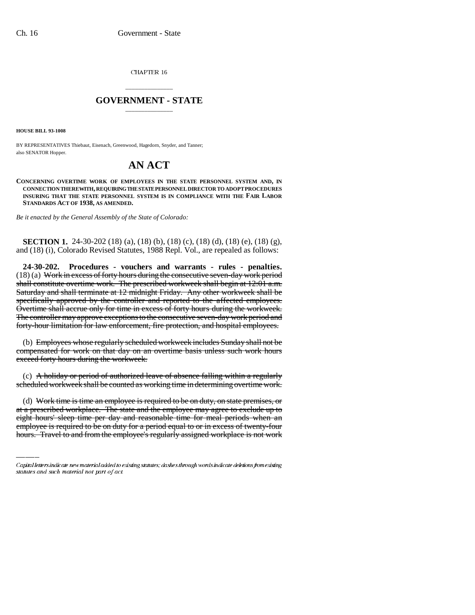CHAPTER 16

## \_\_\_\_\_\_\_\_\_\_\_\_\_\_\_ **GOVERNMENT - STATE** \_\_\_\_\_\_\_\_\_\_\_\_\_\_\_

**HOUSE BILL 93-1008**

BY REPRESENTATIVES Thiebaut, Eisenach, Greenwood, Hagedorn, Snyder, and Tanner; also SENATOR Hopper.

## **AN ACT**

**CONCERNING OVERTIME WORK OF EMPLOYEES IN THE STATE PERSONNEL SYSTEM AND, IN CONNECTION THEREWITH, REQUIRING THE STATE PERSONNEL DIRECTOR TO ADOPT PROCEDURES INSURING THAT THE STATE PERSONNEL SYSTEM IS IN COMPLIANCE WITH THE FAIR LABOR STANDARDS ACT OF 1938, AS AMENDED.**

*Be it enacted by the General Assembly of the State of Colorado:*

**SECTION 1.** 24-30-202 (18) (a), (18) (b), (18) (c), (18) (d), (18) (e), (18) (g), and (18) (i), Colorado Revised Statutes, 1988 Repl. Vol., are repealed as follows:

**24-30-202. Procedures - vouchers and warrants - rules - penalties.** (18) (a) Work in excess of forty hours during the consecutive seven-day work period shall constitute overtime work. The prescribed workweek shall begin at 12:01 a.m. Saturday and shall terminate at 12 midnight Friday. Any other workweek shall be specifically approved by the controller and reported to the affected employees. Overtime shall accrue only for time in excess of forty hours during the workweek. The controller may approve exceptions to the consecutive seven-day work period and forty-hour limitation for law enforcement, fire protection, and hospital employees.

(b) Employees whose regularly scheduled workweek includes Sunday shall not be compensated for work on that day on an overtime basis unless such work hours exceed forty hours during the workweek.

(c) A holiday or period of authorized leave of absence falling within a regularly scheduled workweek shall be counted as working time in determining overtime work.

(d) Work time is time an employee is required to be on duty, on state premises, or at a prescribed workplace. The state and the employee may agree to exclude up to eight hours' sleep time per day and reasonable time for meal periods when an employee is required to be on duty for a period equal to or in excess of twenty-four hours. Travel to and from the employee's regularly assigned workplace is not work

Capital letters indicate new material added to existing statutes; dashes through words indicate deletions from existing statutes and such material not part of act.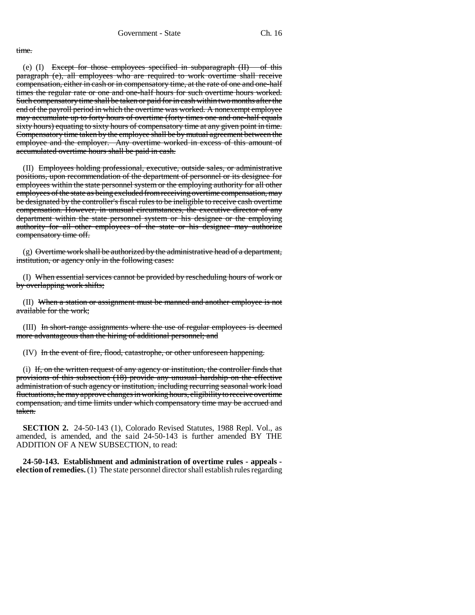## time.

(e)  $(I)$  Except for those employees specified in subparagraph  $(II)$  of this paragraph (e), all employees who are required to work overtime shall receive compensation, either in cash or in compensatory time, at the rate of one and one-half times the regular rate or one and one-half hours for such overtime hours worked. Such compensatory time shall be taken or paid for in cash within two months after the end of the payroll period in which the overtime was worked. A nonexempt employee may accumulate up to forty hours of overtime (forty times one and one-half equals sixty hours) equating to sixty hours of compensatory time at any given point in time. Compensatory time taken by the employee shall be by mutual agreement between the employee and the employer. Any overtime worked in excess of this amount of accumulated overtime hours shall be paid in cash.

(II) Employees holding professional, executive, outside sales, or administrative positions, upon recommendation of the department of personnel or its designee for employees within the state personnel system or the employing authority for all other employees of the state as being excluded from receiving overtime compensation, may be designated by the controller's fiscal rules to be ineligible to receive cash overtime compensation. However, in unusual circumstances, the executive director of any department within the state personnel system or his designee or the employing authority for all other employees of the state or his designee may authorize compensatory time off.

(g) Overtime work shall be authorized by the administrative head of a department, institution, or agency only in the following cases:

(I) When essential services cannot be provided by rescheduling hours of work or by overlapping work shifts;

(II) When a station or assignment must be manned and another employee is not available for the work;

(III) In short-range assignments where the use of regular employees is deemed more advantageous than the hiring of additional personnel; and

(IV) In the event of fire, flood, catastrophe, or other unforeseen happening.

(i) If, on the written request of any agency or institution, the controller finds that provisions of this subsection (18) provide any unusual hardship on the effective administration of such agency or institution, including recurring seasonal work load fluctuations, he may approve changes in working hours, eligibility to receive overtime compensation, and time limits under which compensatory time may be accrued and taken.

**SECTION 2.** 24-50-143 (1), Colorado Revised Statutes, 1988 Repl. Vol., as amended, is amended, and the said 24-50-143 is further amended BY THE ADDITION OF A NEW SUBSECTION, to read:

**24-50-143. Establishment and administration of overtime rules - appeals election of remedies.** (1) The state personnel director shall establish rules regarding